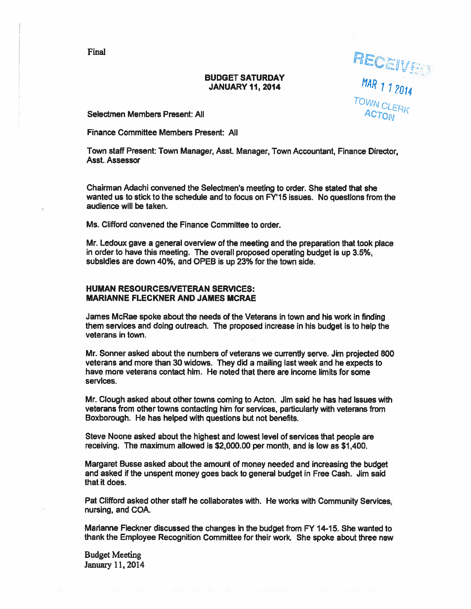**Final** and the state of the state of the state of the state of the state of the state of the state of the state of the state of the state of the state of the state of the state of the state of the state of the state of th

# BUDGET SATURDAY MENTION  $\mu_{\rm{M}}$  JANUARY 11, 2014

'

Selectmen Members Present: All ACTOM

Finance Committee Members Present: All

Town staff Present: Town Manager, Asst, Manager, Town Accountant, Finance Director, Asst. Assessor

Chairman Adachi convened the Selectmen's meeting to order. She stated that she wanted us to stick to the schedule and to focus on FY'15 issues. No questions from the audience will be taken.

Ms. Clifford convened the Finance Committee to order.

Mr. Ledoux gave <sup>a</sup> general overview of the meeting and the preparation that took place in order to have this meeting. The overall proposed operating budget is up 3.5%, subsidies are down 40%. and OPEB is up 23% for the town side.

## HUMAN RESOURCESNETERAN SERVICES: MARIANNE FLECKNER AND JAMES MCRAE

James McRae spoke about the needs of the Veterans in town and his work in finding them services and doing outreach. The proposed increase in his budget is to help the veterans in town.

Mr. Sonner asked about the numbers of veterans we currently serve. Jim projected 800 veterans and more than 30 widows. They did <sup>a</sup> mailing last week and he expects to have more veterans contact him. He noted that there are income limits for some services.

Mr. Clough asked about other towns coming to Acton. Jim said he has had issues with veterans from other towns contacting him for services, particularly with veterans from Boxborough. He has helped with questions but not benefits.

Steve Noone asked about the highest and lowest level of services that people are receiving. The maximum allowed is \$2,000.00 per month, and is low as \$1,400.

Margaret Busse asked about the amount of money needed and increasing the budget and asked if the unspen<sup>t</sup> money goes back to general budget in Free Cash. Jim said that it does.

Pat Clifford asked other staff he collaborates with. He works with Community Services, nursing, and COA.

Marianne Fleckner discussed the changes in the budget from FY 14-15. She wanted to thank the Employee Recognition Committee for their work. She spoke about three new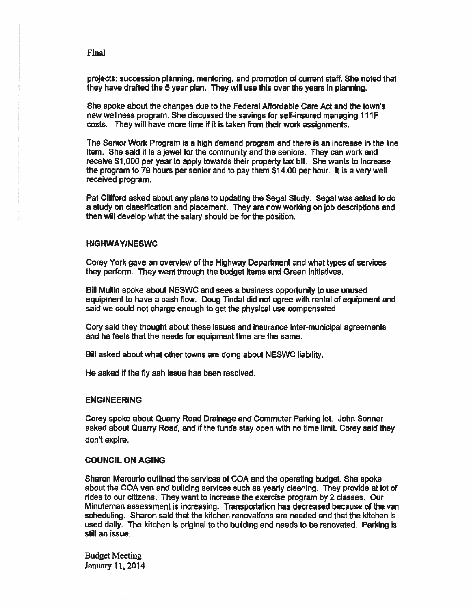projects: succession planning, mentoring, and promotion of current staff. She noted that they have drafted the 5 year plan. They will use this over the years in planning.

She spoke about the changes due to the Federal Affordable Care Act and the towns new wellness program. She discussed the savings for self-insured managing 111 F costs. They will have more time if it is taken from their work assignments.

The Senior Work Program is <sup>a</sup> high demand program and there is an increase in the line item. She said it is <sup>a</sup> jewel for the community and the seniors. They can work and receive \$1,000 per year to apply towards their property tax bill. She wants to increase the program to 79 hours per senior and to pay them \$14.00 per hour. It is a very well received program.

Pat Clifford asked about any plans to updating the Segal Study. Segal was asked to do <sup>a</sup> study on classification and placement. They are now working on job descriptions and then will develop what the salary should be for the position.

#### HIGHWAYINESWC

Corey York gave an overview of the Highway Department and what types of services they perform. They went through the budget items and Green Initiatives.

Bill Mullin spoke about NESWC and sees <sup>a</sup> business opportunity to use unused equipment to have <sup>a</sup> cash flow. Doug Tindal did not agree with rental of equipment and said we could not charge enough to ge<sup>t</sup> the physical use compensated.

Cory said they thought about these issues and insurance inter-municipal agreements and he feels that the needs for equipment time are the same.

Bill asked about what other towns are doing about NESWC liability.

He asked if the fly ash issue has been resolved.

#### ENGINEERING

Corey spoke about Quarry Road Drainage and Commuter Parking lot. John Sonner asked about Quarry Road, and if the funds stay open with no time limit. Corey said they don't expire.

#### COUNCIL ON AGING

Sharon Mercurio outlined the services of COA and the operating budget. She spoke about the COA van and building services such as yearly cleaning. They provide at lot of rides to our citizens. They want to increase the exercise program by 2 classes. Our Minuteman assessment is increasing. Transportation has decreased because of the van scheduling. Sharon said that the kitchen renovations are needed and that the kitchen is used daily. The kitchen is original to the building and needs to be renovated. Parking is still an issue.

Budget Meeting January 11,2014

Final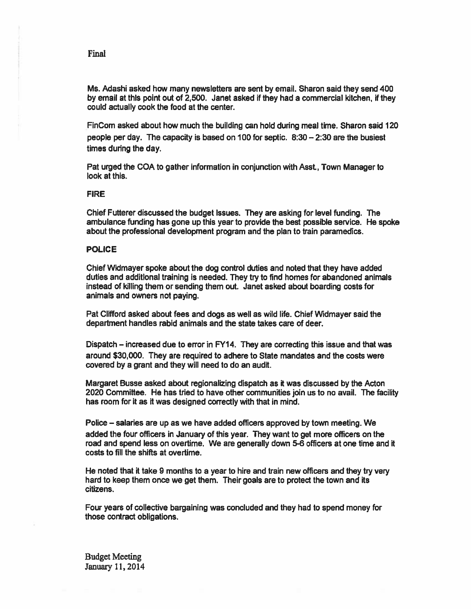Ms. Adashi asked how many newsletters are sent by email. Sharon said they send 400 by email at this point out of 2,500. Janet asked if they had <sup>a</sup> commercial kitchen, if they could actually cook the food at the center.

FinCom asked about how much the building can hold during meal time. Sharon said 120 people per day. The capacity is based on 100 for septic. 8:30 — 2:30 are the busiest times during the day.

Pat urged the COA to gather information in conjunction with Asst, Town Manager to look at this.

## FIRE

Chief Futterer discussed the budget issues. They are asking for level funding. The ambulance funding has gone up this year to provide the best possible service. He spoke about the professional development program and the plan to train paramedics.

#### POLICE

Chief Widmayer spoke about the dog control duties and noted that they have added duties and additional training is needed. They try to find homes for abandoned animals instead of killing them or sending them out. Janet asked about boarding costs for animals and owners not paying.

Pat Clifford asked about fees and dogs as well as wild life. Chief Widmayer said the department handles rabid animals and the state takes care of deer.

Dispatch — increased due to error in FY14. They are correcting this issue and that was around \$30,000. They are required to adhere to State mandates and the costs were covered by <sup>a</sup> gran<sup>t</sup> and they will need to do an audit.

Margaret Busse asked about regionalizing dispatch as it was discussed by the Acton 2020 CommIttee. He has tried to have other communities join us to no avail. The facility has room for it as it was designed correctly with that in mind.

Police — salaries are up as we have added officers approved by town meeting. We added the four officers in January of this year. They want to ge<sup>t</sup> more officers on the road and spend less on overtime. We are generally down 5-6 officers at one time and it costs to fill the shifis at overtime.

He noted that ft take 9 months to <sup>a</sup> year to hire and train new officers and they try very hard to keep them once we ge<sup>t</sup> them. Their goals are to protect the town and its citizens.

Four years of collective bargaining was concluded and they had to spend money for those contract obligations.

Budget Meeting January 11, 2014

Final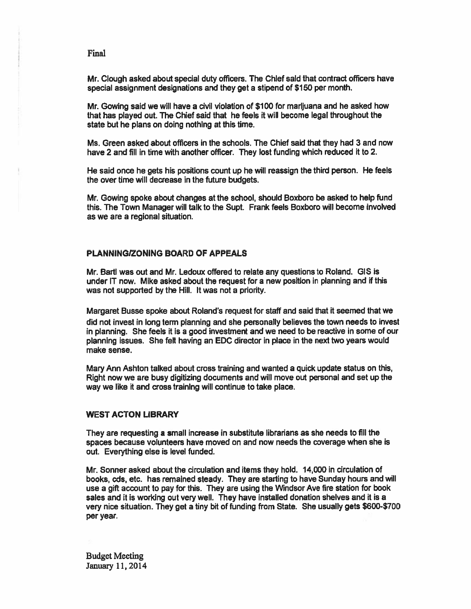Mr. dough asked about special duty officers. The Chief said that contract officers have special assignment designations and they ge<sup>t</sup> <sup>a</sup> stipend of \$150 per month.

Mr. Gowing said we will have <sup>a</sup> civil violation of \$100 for marijuana and he asked how that has played out. The Chief said that he feels it will become legal throughout the state but he plans on doing nothing at this time.

Ms. Green asked about officers in the schools. The Chief said that they had 3 and now have 2 and fill in time with another officer. They lost funding which reduced it to 2.

He said once he gets his positions count up he will reassign the third person. He feels the over time will decrease in the future budgets.

Mr. Gowing spoke about changes at the school, should Boxboro be asked to help fund this. The Town Manager will talk to the Supt. Frank feels Boxboro will become involved as we are <sup>a</sup> regional situation.

## PLANNINGIZONING BOARD OF APPEALS

Mr. Bartl was out and Mr. Ledoux offered to relate any questions to Roland. 016 is under IT now. Mike asked about the reques<sup>t</sup> for <sup>a</sup> new position in planning and if this was not supported by the Hill. It was not <sup>a</sup> priority.

Margaret Busse spoke about Roland's reques<sup>t</sup> for staff and said that it seemed that we did not invest in long term planning and she personally believes the town needs to invest in planning. She feels it is <sup>a</sup> good investment and we need to be reactive in some of our <sup>p</sup>lanning issues. She felt having an EDC director in <sup>p</sup>lace in the next two years would make sense.

Mary Ann Ashton talked about cross training and wanted <sup>a</sup> quick update status on this, Right now we are busy digitizing documents and will move out personal and set up the way we like it and cross training will continue to take place.

#### WEST ACTON LIBRARY

They are requesting <sup>a</sup> small increase in substitute librarians as she needs to fill the spaces because volunteers have moved on and now needs the coverage when she is out. Everything else is level funded.

Mr. Sonner asked about the circulation and items they hold. 14,000 in circulation of books, cds, etc. has remained steady. They are starting to have Sunday hours and will use <sup>a</sup> gift account to pay for this. They are using the Windsor Ave fire station for book sales and it is working out very well. They have installed donation shelves and it is <sup>a</sup> very nice situation. They get a tiny bit of funding from State. She usually gets \$600-\$700 per year.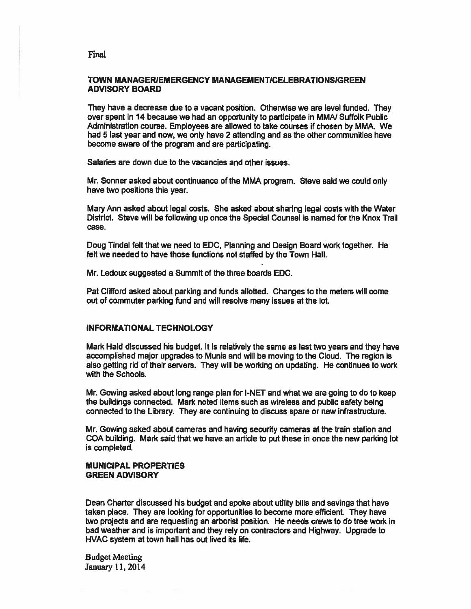## TOWN MANAGERIEMERGENCY MANAGEMENTICELEBRATIONSIGREEN ADVISORY BOARD

They have <sup>a</sup> decrease due to <sup>a</sup> vacant position. Otherwise we are level funded. They over spen<sup>t</sup> in 14 because we had an opportunity to participate in MMN Suffolk Public Administration course. Employees are allowed to take courses if chosen by MMA. We had 5 last year and now, we only have 2 attending and as the other communities have become aware of the program and are participating.

Salaries are down due to the vacancies and other issues.

Mr. Sonner asked about continuance of the MMA program. Steve said we could only have two positions this year.

Mary Ann asked about legal costs. She asked about sharing legal costs with the Water District. Steve will be following up once the Special Counsel is named for the Knox Trail case.

Doug Tindal felt that we need to EDC, Planning and Design Board work together. He felt we needed to have those functions not staffed by the Town Hall.

Mr. Ledoux suggested <sup>a</sup> Summit of the three boards EDC.

Pat Clifford asked about parking and funds allotted. Changes to the meters will come out of commuter parking fund and will resolve many issues at the lot.

#### INFORMATIONAL TECHNOLOGY

Mark Hald discussed his budget. It is relatively the same as last two years and they have accomplished major upgrades to Munis and will be moving to the Cloud. The region is also getting rid of their servers, They will be working on updating. He continues to work with the Schools.

Mr. Gowing asked about long range plan for I-NET and what we are going to do to keep the buildings connected. Mark noted items such as wireless and public safety being connected to the Library. They are continuing to discuss spare or new infrastructure.

Mr. Gowing asked about cameras and having security cameras at the train station and COA building. Mark said that we have an article to pu<sup>t</sup> these in once the new parking lot is completed.

## MUNICIPAL PROPERTIES GREEN ADVISORY

Dean Charter discussed his budget and spoke about utility bills and savings that have taken place. They are looking for opportunities to become more efficient. They have two projects and are requesting an arborist position. He needs crews to do tree work in bad weather and is important and they rely on contractors and Highway. Upgrade to HVAC system at town hall has out lived its life.

Budget Meeting January 11, 2014

#### Final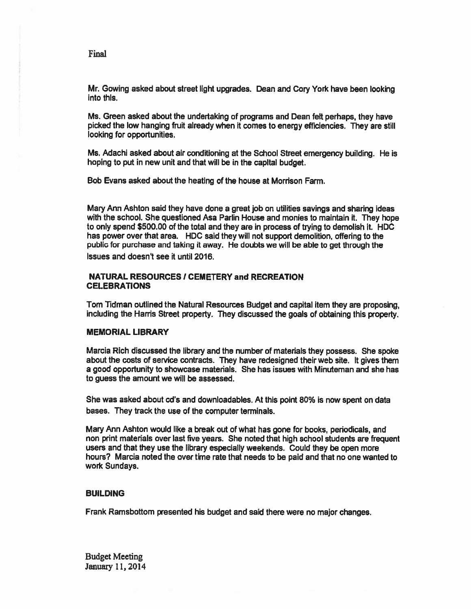Mr. Gowing asked about street light upgrades. Dean and Cory York have been looking into this.

Ms. Green asked about the undertaking of programs and Dean felt perhaps, they have <sup>p</sup>icked the low hanging fruit already when it comes to energy efficiencies. They are still looking for opportunities.

Ms. Adachi asked about air conditioning at the School Street emergency building. He is hoping to pu<sup>t</sup> in new unit and that will be in the capital budget.

Sob Evans asked about the heating of the house at Morrison Farm.

Mary Ann Ashton said they have done <sup>a</sup> grea<sup>t</sup> job on utilities savings and sharing ideas with the school. She questioned Asa Parlin House and monies to maintain it. They hope to only spend \$500.00 of the total and they are in process of trying to demolish it. HDC has power over that area. HDC said they will not suppor<sup>t</sup> demolition, offering to the public for purchase and taking it away. He doubts we will be able to ge<sup>t</sup> through the issues and doesn't see it until 2016.

## **NATURAL RESOURCES / CEMETERY and RECREATION** CELEBRATIONS

Tom Tidman outlined the Natural Resources Budget and capital item they are proposing, including the Harris Street property. They discussed the goals of obtaining this property.

#### MEMORIAL UBRARY

Marcia Rich discussed the library and the number of materials they possess. She spoke about the costs of service contracts. They have redesigned their web site. It gives them <sup>a</sup> good opportunity to showcase materials. She has issues with Minuteman and she has to guess the amount we will be assessed.

She was asked about cd's and downloadables. At this point 80% is now spen<sup>t</sup> on data bases. They track the use of the computer terminals.

Mary Ann Ashton would like <sup>a</sup> break out of what has gone for books, periodicals, and non print materials over last five years. She noted that high school students are frequent users and that they use the library especially weekends. Could they be open more hours? Marcia noted the over time rate that needs to be paid and that no one wanted to work Sundays.

#### BUILDING

Frank Ramsboftom presented his budget and said there were no major changes.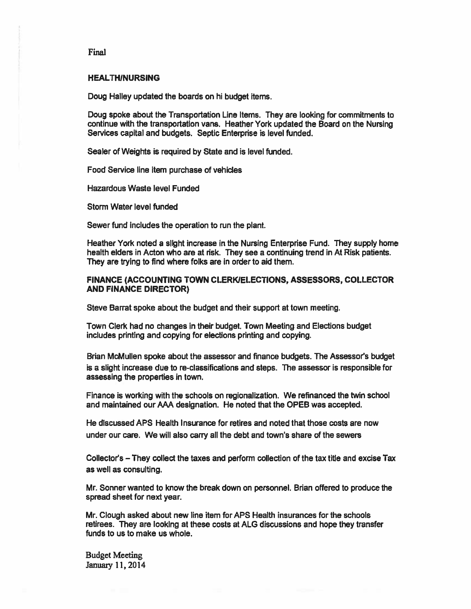#### HEALTHINURSING

Doug Halley updated the boards on hi budget items.

Doug spoke about the Transportation Line Items. They are looking for commitments to continue with the transportation vans. Heather York updated the Board on the Nursing Services capital and budgets. Septic Enterprise is level funded.

Sealer of Weights is required by State and is level funded.

Food Service line item purchase of vehicles

Hazardous Waste level Funded

Storm Water level funded

Sewer fund includes the operation to run the plant.

Heather York noted <sup>a</sup> slight increase in the Nursing Enterprise Fund. They supply home health elders in Acton who are at risk. They see <sup>a</sup> continuing trend in At Risk patients. They are trying to find where folks are in order to aid them.

## FINANCE (ACCOUNTING TOWN CLERKIELECTIONS, ASSESSORS, COLLECTOR AND FINANCE DIRECTOR)

Steve Barrat spoke about the budget and their suppor<sup>t</sup> at town meeting.

Town Clerk had no changes in their budget. Town Meeting and Elections budget includes printing and copying for elections printing and copying.

Brian McMullen spoke about the assessor and finance budgets. The Assessor's budget is <sup>a</sup> slight increase due to re-classifications and steps. The assessor is responsible for assessing the properties in town.

Finance is working with the schools on regionalization. We refinanced the twin school and maintained our AAA designation. He noted that the OPEB was accepted.

He discussed APS Health Insurance for retires and noted that those costs are now under our care. We will also carry all the debt and town's share of the sewers

Collector's — They collect the taxes and perform collection of the tax title and excise Tax as well as consulting.

Mr. Sonner wanted to know the break down on personnel. Brian offered to produce the spread sheet for next year.

Mr. Clough asked about new line item for APS Health insurances for the schools retirees. They are looking at these costs at ALG discussions and hope they transfer funds to us to make us whole.